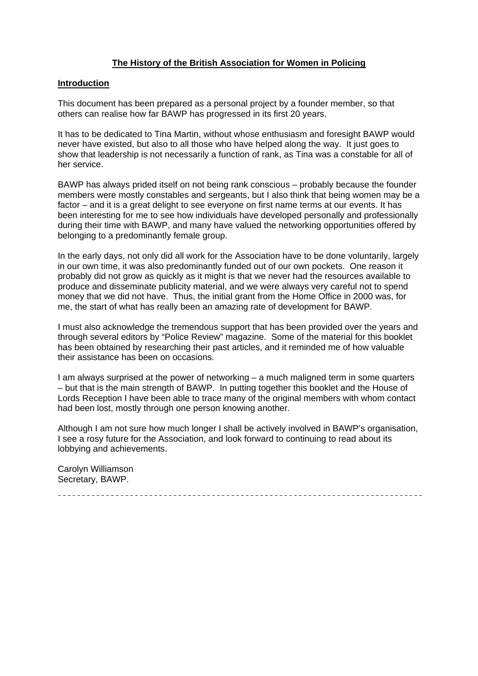# **The History of the British Association for Women in Policing**

#### **Introduction**

This document has been prepared as a personal project by a founder member, so that others can realise how far BAWP has progressed in its first 20 years.

It has to be dedicated to Tina Martin, without whose enthusiasm and foresight BAWP would never have existed, but also to all those who have helped along the way. It just goes to show that leadership is not necessarily a function of rank, as Tina was a constable for all of her service.

BAWP has always prided itself on not being rank conscious – probably because the founder members were mostly constables and sergeants, but I also think that being women may be a factor – and it is a great delight to see everyone on first name terms at our events. It has been interesting for me to see how individuals have developed personally and professionally during their time with BAWP, and many have valued the networking opportunities offered by belonging to a predominantly female group.

In the early days, not only did all work for the Association have to be done voluntarily, largely in our own time, it was also predominantly funded out of our own pockets. One reason it probably did not grow as quickly as it might is that we never had the resources available to produce and disseminate publicity material, and we were always very careful not to spend money that we did not have. Thus, the initial grant from the Home Office in 2000 was, for me, the start of what has really been an amazing rate of development for BAWP.

I must also acknowledge the tremendous support that has been provided over the years and through several editors by "Police Review" magazine. Some of the material for this booklet has been obtained by researching their past articles, and it reminded me of how valuable their assistance has been on occasions.

I am always surprised at the power of networking – a much maligned term in some quarters – but that is the main strength of BAWP. In putting together this booklet and the House of Lords Reception I have been able to trace many of the original members with whom contact had been lost, mostly through one person knowing another.

Although I am not sure how much longer I shall be actively involved in BAWP's organisation, I see a rosy future for the Association, and look forward to continuing to read about its lobbying and achievements.

Carolyn Williamson Secretary, BAWP.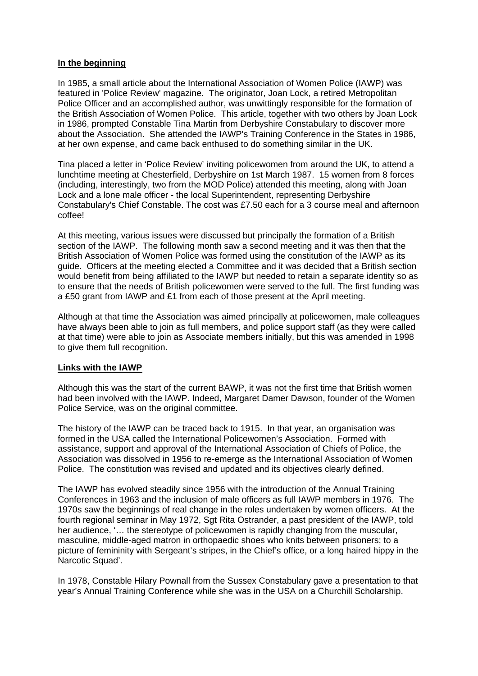#### **In the beginning**

In 1985, a small article about the International Association of Women Police (IAWP) was featured in 'Police Review' magazine. The originator, Joan Lock, a retired Metropolitan Police Officer and an accomplished author, was unwittingly responsible for the formation of the British Association of Women Police. This article, together with two others by Joan Lock in 1986, prompted Constable Tina Martin from Derbyshire Constabulary to discover more about the Association. She attended the IAWP's Training Conference in the States in 1986, at her own expense, and came back enthused to do something similar in the UK.

Tina placed a letter in 'Police Review' inviting policewomen from around the UK, to attend a lunchtime meeting at Chesterfield, Derbyshire on 1st March 1987. 15 women from 8 forces (including, interestingly, two from the MOD Police) attended this meeting, along with Joan Lock and a lone male officer - the local Superintendent, representing Derbyshire Constabulary's Chief Constable. The cost was £7.50 each for a 3 course meal and afternoon coffee!

At this meeting, various issues were discussed but principally the formation of a British section of the IAWP. The following month saw a second meeting and it was then that the British Association of Women Police was formed using the constitution of the IAWP as its guide. Officers at the meeting elected a Committee and it was decided that a British section would benefit from being affiliated to the IAWP but needed to retain a separate identity so as to ensure that the needs of British policewomen were served to the full. The first funding was a £50 grant from IAWP and £1 from each of those present at the April meeting.

Although at that time the Association was aimed principally at policewomen, male colleagues have always been able to join as full members, and police support staff (as they were called at that time) were able to join as Associate members initially, but this was amended in 1998 to give them full recognition.

# **Links with the IAWP**

Although this was the start of the current BAWP, it was not the first time that British women had been involved with the IAWP. Indeed, Margaret Damer Dawson, founder of the Women Police Service, was on the original committee.

The history of the IAWP can be traced back to 1915. In that year, an organisation was formed in the USA called the International Policewomen's Association. Formed with assistance, support and approval of the International Association of Chiefs of Police, the Association was dissolved in 1956 to re-emerge as the International Association of Women Police. The constitution was revised and updated and its objectives clearly defined.

The IAWP has evolved steadily since 1956 with the introduction of the Annual Training Conferences in 1963 and the inclusion of male officers as full IAWP members in 1976. The 1970s saw the beginnings of real change in the roles undertaken by women officers. At the fourth regional seminar in May 1972, Sgt Rita Ostrander, a past president of the IAWP, told her audience, '… the stereotype of policewomen is rapidly changing from the muscular, masculine, middle-aged matron in orthopaedic shoes who knits between prisoners; to a picture of femininity with Sergeant's stripes, in the Chief's office, or a long haired hippy in the Narcotic Squad'.

In 1978, Constable Hilary Pownall from the Sussex Constabulary gave a presentation to that year's Annual Training Conference while she was in the USA on a Churchill Scholarship.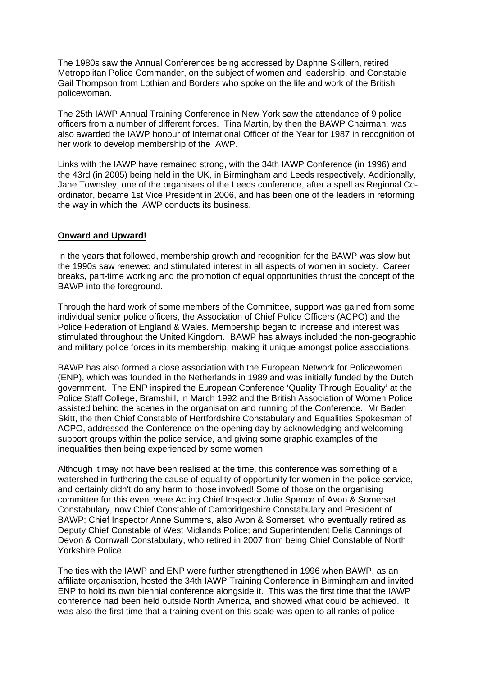The 1980s saw the Annual Conferences being addressed by Daphne Skillern, retired Metropolitan Police Commander, on the subject of women and leadership, and Constable Gail Thompson from Lothian and Borders who spoke on the life and work of the British policewoman.

The 25th IAWP Annual Training Conference in New York saw the attendance of 9 police officers from a number of different forces. Tina Martin, by then the BAWP Chairman, was also awarded the IAWP honour of International Officer of the Year for 1987 in recognition of her work to develop membership of the IAWP.

Links with the IAWP have remained strong, with the 34th IAWP Conference (in 1996) and the 43rd (in 2005) being held in the UK, in Birmingham and Leeds respectively. Additionally, Jane Townsley, one of the organisers of the Leeds conference, after a spell as Regional Coordinator, became 1st Vice President in 2006, and has been one of the leaders in reforming the way in which the IAWP conducts its business.

#### **Onward and Upward!**

In the years that followed, membership growth and recognition for the BAWP was slow but the 1990s saw renewed and stimulated interest in all aspects of women in society. Career breaks, part-time working and the promotion of equal opportunities thrust the concept of the BAWP into the foreground.

Through the hard work of some members of the Committee, support was gained from some individual senior police officers, the Association of Chief Police Officers (ACPO) and the Police Federation of England & Wales. Membership began to increase and interest was stimulated throughout the United Kingdom. BAWP has always included the non-geographic and military police forces in its membership, making it unique amongst police associations.

BAWP has also formed a close association with the European Network for Policewomen (ENP), which was founded in the Netherlands in 1989 and was initially funded by the Dutch government. The ENP inspired the European Conference 'Quality Through Equality' at the Police Staff College, Bramshill, in March 1992 and the British Association of Women Police assisted behind the scenes in the organisation and running of the Conference. Mr Baden Skitt, the then Chief Constable of Hertfordshire Constabulary and Equalities Spokesman of ACPO, addressed the Conference on the opening day by acknowledging and welcoming support groups within the police service, and giving some graphic examples of the inequalities then being experienced by some women.

Although it may not have been realised at the time, this conference was something of a watershed in furthering the cause of equality of opportunity for women in the police service, and certainly didn't do any harm to those involved! Some of those on the organising committee for this event were Acting Chief Inspector Julie Spence of Avon & Somerset Constabulary, now Chief Constable of Cambridgeshire Constabulary and President of BAWP; Chief Inspector Anne Summers, also Avon & Somerset, who eventually retired as Deputy Chief Constable of West Midlands Police; and Superintendent Della Cannings of Devon & Cornwall Constabulary, who retired in 2007 from being Chief Constable of North Yorkshire Police.

The ties with the IAWP and ENP were further strengthened in 1996 when BAWP, as an affiliate organisation, hosted the 34th IAWP Training Conference in Birmingham and invited ENP to hold its own biennial conference alongside it. This was the first time that the IAWP conference had been held outside North America, and showed what could be achieved. It was also the first time that a training event on this scale was open to all ranks of police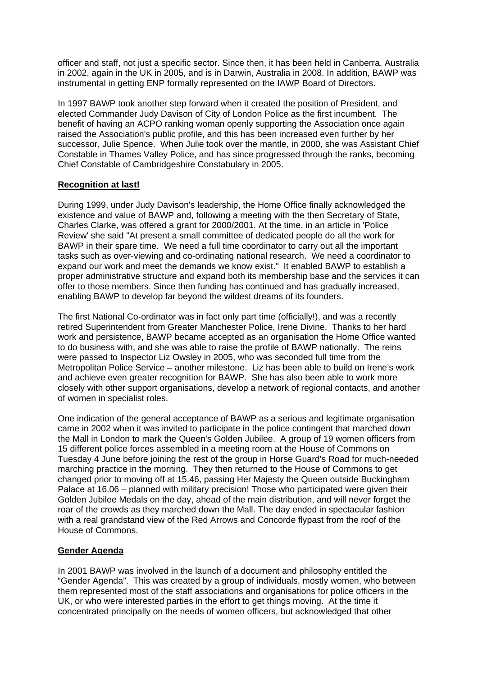officer and staff, not just a specific sector. Since then, it has been held in Canberra, Australia in 2002, again in the UK in 2005, and is in Darwin, Australia in 2008. In addition, BAWP was instrumental in getting ENP formally represented on the IAWP Board of Directors.

In 1997 BAWP took another step forward when it created the position of President, and elected Commander Judy Davison of City of London Police as the first incumbent. The benefit of having an ACPO ranking woman openly supporting the Association once again raised the Association's public profile, and this has been increased even further by her successor, Julie Spence. When Julie took over the mantle, in 2000, she was Assistant Chief Constable in Thames Valley Police, and has since progressed through the ranks, becoming Chief Constable of Cambridgeshire Constabulary in 2005.

# **Recognition at last!**

During 1999, under Judy Davison's leadership, the Home Office finally acknowledged the existence and value of BAWP and, following a meeting with the then Secretary of State, Charles Clarke, was offered a grant for 2000/2001. At the time, in an article in 'Police Review' she said "At present a small committee of dedicated people do all the work for BAWP in their spare time. We need a full time coordinator to carry out all the important tasks such as over-viewing and co-ordinating national research. We need a coordinator to expand our work and meet the demands we know exist." It enabled BAWP to establish a proper administrative structure and expand both its membership base and the services it can offer to those members. Since then funding has continued and has gradually increased, enabling BAWP to develop far beyond the wildest dreams of its founders.

The first National Co-ordinator was in fact only part time (officially!), and was a recently retired Superintendent from Greater Manchester Police, Irene Divine. Thanks to her hard work and persistence, BAWP became accepted as an organisation the Home Office wanted to do business with, and she was able to raise the profile of BAWP nationally. The reins were passed to Inspector Liz Owsley in 2005, who was seconded full time from the Metropolitan Police Service – another milestone. Liz has been able to build on Irene's work and achieve even greater recognition for BAWP. She has also been able to work more closely with other support organisations, develop a network of regional contacts, and another of women in specialist roles.

One indication of the general acceptance of BAWP as a serious and legitimate organisation came in 2002 when it was invited to participate in the police contingent that marched down the Mall in London to mark the Queen's Golden Jubilee. A group of 19 women officers from 15 different police forces assembled in a meeting room at the House of Commons on Tuesday 4 June before joining the rest of the group in Horse Guard's Road for much-needed marching practice in the morning. They then returned to the House of Commons to get changed prior to moving off at 15.46, passing Her Majesty the Queen outside Buckingham Palace at 16.06 – planned with military precision! Those who participated were given their Golden Jubilee Medals on the day, ahead of the main distribution, and will never forget the roar of the crowds as they marched down the Mall. The day ended in spectacular fashion with a real grandstand view of the Red Arrows and Concorde flypast from the roof of the House of Commons.

# **Gender Agenda**

In 2001 BAWP was involved in the launch of a document and philosophy entitled the "Gender Agenda". This was created by a group of individuals, mostly women, who between them represented most of the staff associations and organisations for police officers in the UK, or who were interested parties in the effort to get things moving. At the time it concentrated principally on the needs of women officers, but acknowledged that other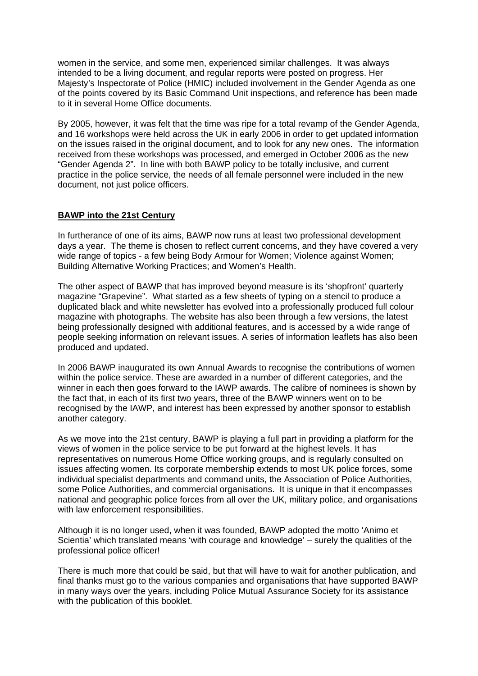women in the service, and some men, experienced similar challenges. It was always intended to be a living document, and regular reports were posted on progress. Her Majesty's Inspectorate of Police (HMIC) included involvement in the Gender Agenda as one of the points covered by its Basic Command Unit inspections, and reference has been made to it in several Home Office documents.

By 2005, however, it was felt that the time was ripe for a total revamp of the Gender Agenda, and 16 workshops were held across the UK in early 2006 in order to get updated information on the issues raised in the original document, and to look for any new ones. The information received from these workshops was processed, and emerged in October 2006 as the new "Gender Agenda 2". In line with both BAWP policy to be totally inclusive, and current practice in the police service, the needs of all female personnel were included in the new document, not just police officers.

### **BAWP into the 21st Century**

In furtherance of one of its aims, BAWP now runs at least two professional development days a year. The theme is chosen to reflect current concerns, and they have covered a very wide range of topics - a few being Body Armour for Women; Violence against Women; Building Alternative Working Practices; and Women's Health.

The other aspect of BAWP that has improved beyond measure is its 'shopfront' quarterly magazine "Grapevine". What started as a few sheets of typing on a stencil to produce a duplicated black and white newsletter has evolved into a professionally produced full colour magazine with photographs. The website has also been through a few versions, the latest being professionally designed with additional features, and is accessed by a wide range of people seeking information on relevant issues. A series of information leaflets has also been produced and updated.

In 2006 BAWP inaugurated its own Annual Awards to recognise the contributions of women within the police service. These are awarded in a number of different categories, and the winner in each then goes forward to the IAWP awards. The calibre of nominees is shown by the fact that, in each of its first two years, three of the BAWP winners went on to be recognised by the IAWP, and interest has been expressed by another sponsor to establish another category.

As we move into the 21st century, BAWP is playing a full part in providing a platform for the views of women in the police service to be put forward at the highest levels. It has representatives on numerous Home Office working groups, and is regularly consulted on issues affecting women. Its corporate membership extends to most UK police forces, some individual specialist departments and command units, the Association of Police Authorities, some Police Authorities, and commercial organisations. It is unique in that it encompasses national and geographic police forces from all over the UK, military police, and organisations with law enforcement responsibilities.

Although it is no longer used, when it was founded, BAWP adopted the motto 'Animo et Scientia' which translated means 'with courage and knowledge' – surely the qualities of the professional police officer!

There is much more that could be said, but that will have to wait for another publication, and final thanks must go to the various companies and organisations that have supported BAWP in many ways over the years, including Police Mutual Assurance Society for its assistance with the publication of this booklet.